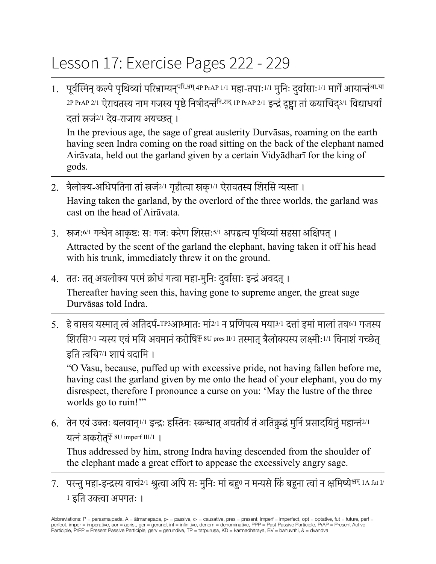## Lesson 17: Exercise Pages 222 - 229

1. पूर्वस्मिन् कल्पे पृथिव्यां परिभ्राम्यन्<sup>परि-भ्रम् 4P PrAP 1/1 महा-तपाः<sup>1/1</sup> मुनिः दुर्वासाः<sup>1/1</sup> मार्गे आयान्तं<sup>आ-या</sup></sup> 2P PrAP 2/1 ऐरावतस्य नाम गजस्य पृष्ठे निषीदन्तं<sup>नि</sup>-<sup>सद्</sup> 1P PrAP 2/1 इन्द्रं दृष्ट्वा तां कयाचिद्3/1 विद्याधय दत्तांस्रजं2/1 देव-राजाय अयच्छत्।

In the previous age, the sage of great austerity Durvāsas, roaming on the earth having seen Indra coming on the road sitting on the back of the elephant named Airāvata, held out the garland given by a certain Vidyādharī for the king of gods.

- 2. त्रैलोक्य-अधिपतिना तांस्रजं2/1 गृहीत्वा स्रक्1/1 ऐरावतस्य शिरसि न्यस्ता । Having taken the garland, by the overlord of the three worlds, the garland was cast on the head of Airāvata.
- 3. स्रजः<sup>6/1</sup> गन्धेन आकृष्टः सः गजः करेण शिरसः<sup>5/1</sup> अपहृत्य पृथिव्यां सहसा अक्षिपत् । Attracted by the scent of the garland the elephant, having taken it off his head with his trunk, immediately threw it on the ground.
- 4. ततः तत् अवलोक्य परमं क्रोधं गत्वा महा-मुनिः दुर्वासाः इन्द्रं अवदत् । Thereafter having seen this, having gone to supreme anger, the great sage Durvāsas told Indra.
- 5. हे वासव यस्मात त्वं अतिदर्प-TP3आध्मातः मां2/1 न प्रणिपत्य मया3/1 दत्तां इमां मालां तव6/1 गजस्य शिरसि7/1 न्यस्य एवंमयि अवमानंकरोषिकृ 8U pres II/1 तस्मात्त्रैलोक्यस्य लक्ष्मीः1/1 विनाशंगच्छेत् इति त्वयि7/1 शापंवदामि ।

"O Vasu, because, puffed up with excessive pride, not having fallen before me, having cast the garland given by me onto the head of your elephant, you do my disrespect, therefore I pronounce a curse on you: 'May the lustre of the three worlds go to ruin!"

6. तेन एवं उक्तः बलवान् $^{1/1}$  इन्द्रः हस्तिनः स्कन्धात् अवतीर्यं तं अतिक्रुद्धं मुनिं प्रसादयितुं महान्तं $^{2/1}$ यत्नं अकरोत्<sup>कृ 8U imperf III/1 |</sup>

Thus addressed by him, strong Indra having descended from the shoulder of the elephant made a great effort to appease the excessively angry sage.

7. परन्तु महा-इन्द्रस्य वाचं<sup>2/1</sup> श्रुत्वा अपि सः मुनिः मां बह<sup>0</sup> न मन्यसे किं बहुना त्वां न क्षमिष्ये<sup>क्षम् 1A fut I/</sup> <sup>1</sup> इति उक्त्वा अपगतः ।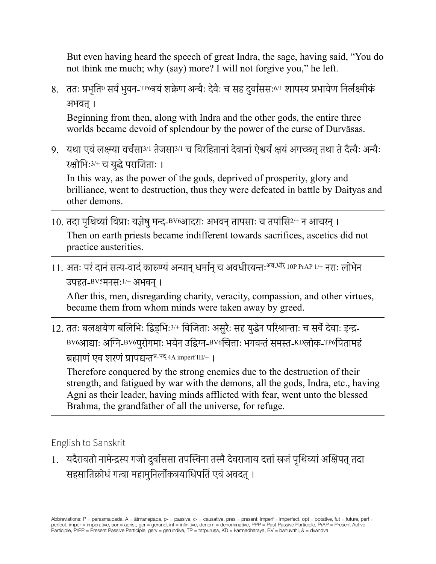But even having heard the speech of great Indra, the sage, having said, "You do not think me much; why (say) more? I will not forgive you," he left.

8. ततः प्रभृति<sup>0</sup> सर्वं भुवन-<sup>TP6</sup>त्रयं शक्रेण अन्यैः देवैः च सह दुर्वाससः<sup>6/1</sup> शापस्य प्रभावेण निर्लक्ष्मीकं अभवत्।

Beginning from then, along with Indra and the other gods, the entire three worlds became devoid of splendour by the power of the curse of Durvāsas.

9. यथा एवंलक्ष्म्या वर्चसा3/1 तेजसा3/1 च विरहितानांदेवानांऐश्वर्यंक्षयंअगच्छत्तथा तेदैत्यैः अन्यैः रक्षोभिः3/+ च युद्धेपराजिताः ।

In this way, as the power of the gods, deprived of prosperity, glory and brilliance, went to destruction, thus they were defeated in battle by Daityas and other demons.

- 10. तदा पृथिव्यां विप्राः यज्ञेषु मन्द-BV6आदराः अभवन् तापसाः च तपांसि<sup>2/+</sup> न आचरन् । Then on earth priests became indifferent towards sacrifices, ascetics did not practice austerities.
- 11. अतः परं दानं सत्य-वादं कारुण्यं अन्यान् धर्मान् च अवधीरयन्तः<sup>अव-धीर्</sup> 10P PrAP 1/+ नराः लोभेन उपहत-BV5मनसः1/+ अभवन्।

After this, men, disregarding charity, veracity, compassion, and other virtues, became them from whom minds were taken away by greed.

12. ततः बलक्षयेण बलिभिः द्विड्भिः<sup>3/+</sup> विजिताः असुरैः सह युद्धेन परिश्रान्ताः च सर्वे देवाः इन्द्र-BV6आद्याः अग्नि-BV6पुरोगमाः भयेन उद्विग्न-BV6चित्ताः भगवन्तंसमस्त-KDलोक-TP6पितामहं ब्रह्माणं एव शरणं प्रापद्यन्त<sup>प्र-पद्</sup> 4A imperf III/+  $\,$  |

Therefore conquered by the strong enemies due to the destruction of their strength, and fatigued by war with the demons, all the gods, Indra, etc., having Agni as their leader, having minds afflicted with fear, went unto the blessed Brahma, the grandfather of all the universe, for refuge.

English to Sanskrit

1. यदैरावतो नामेन्द्रस्य गजो दुर्वाससा तपस्विना तस्मै देवराजाय दत्तां स्रजं पृथिव्यां अक्षिपत् तदा सहसातिक्रोधंगत्वा महामुनिर्लोकत्रयाधिपतिं एवंअवदत्।